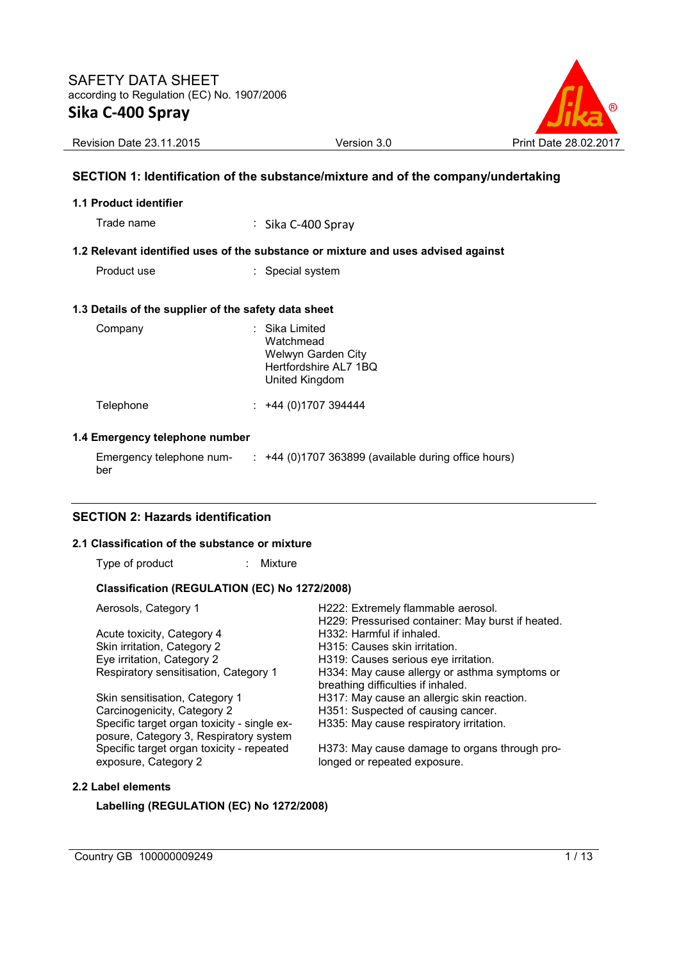

Revision Date 23.11.2015 Version 3.0 Print Date 28.02.2017

# **SECTION 1: Identification of the substance/mixture and of the company/undertaking**

## **1.1 Product identifier**

Trade name : Sika C-400 Spray

## **1.2 Relevant identified uses of the substance or mixture and uses advised against**

Product use : Special system

#### **1.3 Details of the supplier of the safety data sheet**

| Company   | : Sika Limited<br>Watchmead<br>Welwyn Garden City<br>Hertfordshire AL7 1BQ<br>United Kingdom |
|-----------|----------------------------------------------------------------------------------------------|
| Telephone | +44 (0) 1707 394444                                                                          |

#### **1.4 Emergency telephone number**

Emergency telephone number :  $+44$  (0)1707 363899 (available during office hours)

## **SECTION 2: Hazards identification**

#### **2.1 Classification of the substance or mixture**

Type of product : Mixture

## **Classification (REGULATION (EC) No 1272/2008)**

| Aerosols, Category 1                                                                  | H222: Extremely flammable aerosol.<br>H229: Pressurised container: May burst if heated. |
|---------------------------------------------------------------------------------------|-----------------------------------------------------------------------------------------|
| Acute toxicity, Category 4                                                            | H332: Harmful if inhaled.                                                               |
| Skin irritation, Category 2                                                           | H315: Causes skin irritation.                                                           |
| Eye irritation, Category 2                                                            | H319: Causes serious eye irritation.                                                    |
| Respiratory sensitisation, Category 1                                                 | H334: May cause allergy or asthma symptoms or<br>breathing difficulties if inhaled.     |
| Skin sensitisation, Category 1                                                        | H317: May cause an allergic skin reaction.                                              |
| Carcinogenicity, Category 2                                                           | H351: Suspected of causing cancer.                                                      |
| Specific target organ toxicity - single ex-<br>posure, Category 3, Respiratory system | H335: May cause respiratory irritation.                                                 |
| Specific target organ toxicity - repeated<br>exposure, Category 2                     | H373: May cause damage to organs through pro-<br>longed or repeated exposure.           |

## **2.2 Label elements**

## **Labelling (REGULATION (EC) No 1272/2008)**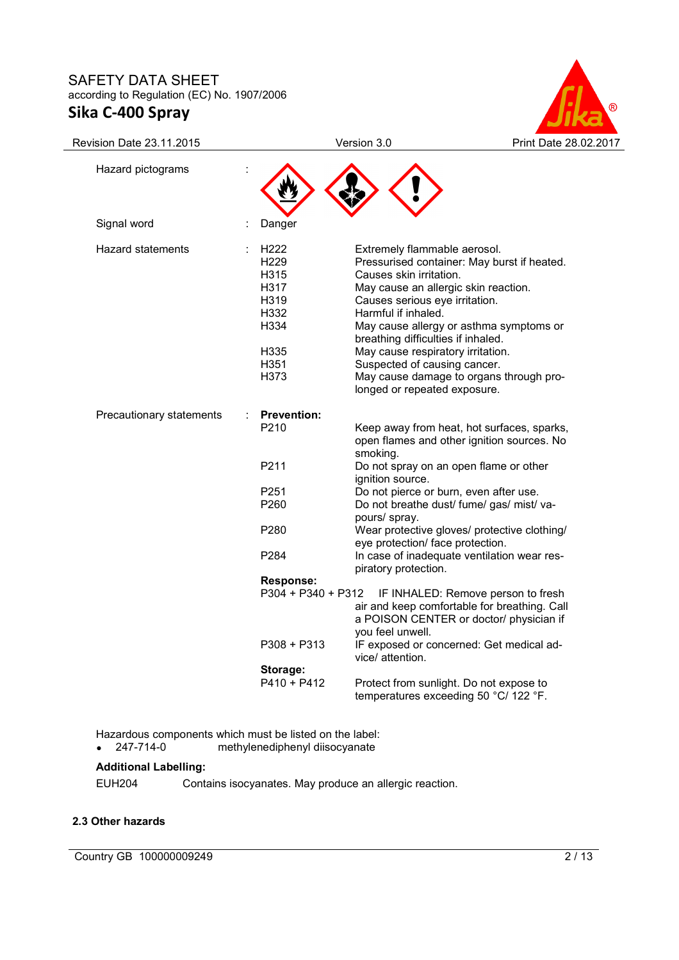

| Revision Date 23.11.2015 |                                                                                          | Version 3.0                                                                                                                                                                                                                                                                                                                                                                                                                              | Print Date 28.02.2017 |
|--------------------------|------------------------------------------------------------------------------------------|------------------------------------------------------------------------------------------------------------------------------------------------------------------------------------------------------------------------------------------------------------------------------------------------------------------------------------------------------------------------------------------------------------------------------------------|-----------------------|
| Hazard pictograms        |                                                                                          |                                                                                                                                                                                                                                                                                                                                                                                                                                          |                       |
| Signal word              | Danger                                                                                   |                                                                                                                                                                                                                                                                                                                                                                                                                                          |                       |
| <b>Hazard statements</b> | H222<br>H <sub>229</sub><br>H315<br>H317<br>H319<br>H332<br>H334<br>H335<br>H351<br>H373 | Extremely flammable aerosol.<br>Pressurised container: May burst if heated.<br>Causes skin irritation.<br>May cause an allergic skin reaction.<br>Causes serious eye irritation.<br>Harmful if inhaled.<br>May cause allergy or asthma symptoms or<br>breathing difficulties if inhaled.<br>May cause respiratory irritation.<br>Suspected of causing cancer.<br>May cause damage to organs through pro-<br>longed or repeated exposure. |                       |
| Precautionary statements | <b>Prevention:</b><br>P210                                                               | Keep away from heat, hot surfaces, sparks,<br>open flames and other ignition sources. No<br>smoking.                                                                                                                                                                                                                                                                                                                                     |                       |
|                          | P211                                                                                     | Do not spray on an open flame or other<br>ignition source.                                                                                                                                                                                                                                                                                                                                                                               |                       |
|                          | P251<br>P <sub>260</sub>                                                                 | Do not pierce or burn, even after use.<br>Do not breathe dust/ fume/ gas/ mist/ va-<br>pours/ spray.                                                                                                                                                                                                                                                                                                                                     |                       |
|                          | P280                                                                                     | Wear protective gloves/ protective clothing/<br>eye protection/ face protection.                                                                                                                                                                                                                                                                                                                                                         |                       |
|                          | P <sub>2</sub> 84                                                                        | In case of inadequate ventilation wear res-<br>piratory protection.                                                                                                                                                                                                                                                                                                                                                                      |                       |
|                          | <b>Response:</b>                                                                         |                                                                                                                                                                                                                                                                                                                                                                                                                                          |                       |
|                          | $P304 + P340 + P312$                                                                     | IF INHALED: Remove person to fresh<br>air and keep comfortable for breathing. Call<br>a POISON CENTER or doctor/ physician if<br>you feel unwell.                                                                                                                                                                                                                                                                                        |                       |
|                          | $P308 + P313$                                                                            | IF exposed or concerned: Get medical ad-<br>vice/ attention.                                                                                                                                                                                                                                                                                                                                                                             |                       |
|                          | Storage:                                                                                 |                                                                                                                                                                                                                                                                                                                                                                                                                                          |                       |
|                          | $P410 + P412$                                                                            | Protect from sunlight. Do not expose to<br>temperatures exceeding 50 °C/ 122 °F.                                                                                                                                                                                                                                                                                                                                                         |                       |

Hazardous components which must be listed on the label:<br>
• 247-714-0 methylenediphenyl diisocvanate • 247-714-0 methylenediphenyl diisocyanate

# **Additional Labelling:**

EUH204 Contains isocyanates. May produce an allergic reaction.

# **2.3 Other hazards**

Country GB 100000009249 2/13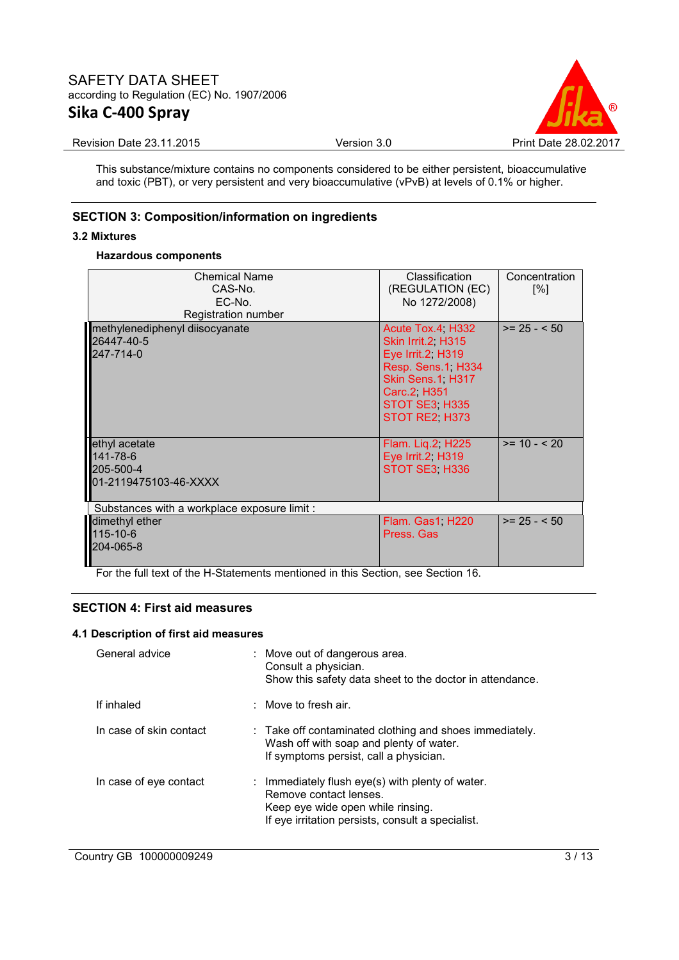

Revision Date 23.11.2015 **Version 3.0** Print Date 28.02.2017

This substance/mixture contains no components considered to be either persistent, bioaccumulative and toxic (PBT), or very persistent and very bioaccumulative (vPvB) at levels of 0.1% or higher.

# **SECTION 3: Composition/information on ingredients**

## **3.2 Mixtures**

## **Hazardous components**

| <b>Chemical Name</b><br>CAS-No.<br>EC-No.<br>Registration number | <b>Classification</b><br>(REGULATION (EC)<br>No 1272/2008)                                                                                             | Concentration<br>[%] |
|------------------------------------------------------------------|--------------------------------------------------------------------------------------------------------------------------------------------------------|----------------------|
| methylenediphenyl diisocyanate<br>26447-40-5<br>247-714-0        | Acute Tox.4 H332<br>Skin Irrit.2 H315<br>Eye Irrit.2, H319<br>Resp. Sens.1, H334<br>Skin Sens.1 H317<br>Carc.2 H351<br>STOT SE3 H335<br>STOT RE2, H373 | $>= 25 - 50$         |
| ethyl acetate<br>141-78-6<br>205-500-4<br>01-2119475103-46-XXXX  | Flam. Lig.2, H225<br>Eye Irrit.2, H319<br>STOT SE3 H336                                                                                                | $>= 10 - 20$         |
| Substances with a workplace exposure limit :                     |                                                                                                                                                        |                      |
| dimethyl ether<br>115-10-6<br>204-065-8                          | Flam. Gas1, H220<br>Press, Gas                                                                                                                         | $>= 25 - 50$         |

For the full text of the H-Statements mentioned in this Section, see Section 16.

# **SECTION 4: First aid measures**

## **4.1 Description of first aid measures**

| General advice          | : Move out of dangerous area.<br>Consult a physician.<br>Show this safety data sheet to the doctor in attendance.                                                    |
|-------------------------|----------------------------------------------------------------------------------------------------------------------------------------------------------------------|
| If inhaled              | : Move to fresh air.                                                                                                                                                 |
| In case of skin contact | $\therefore$ Take off contaminated clothing and shoes immediately.<br>Wash off with soap and plenty of water.<br>If symptoms persist, call a physician.              |
| In case of eye contact  | : Immediately flush eye(s) with plenty of water.<br>Remove contact lenses.<br>Keep eye wide open while rinsing.<br>If eye irritation persists, consult a specialist. |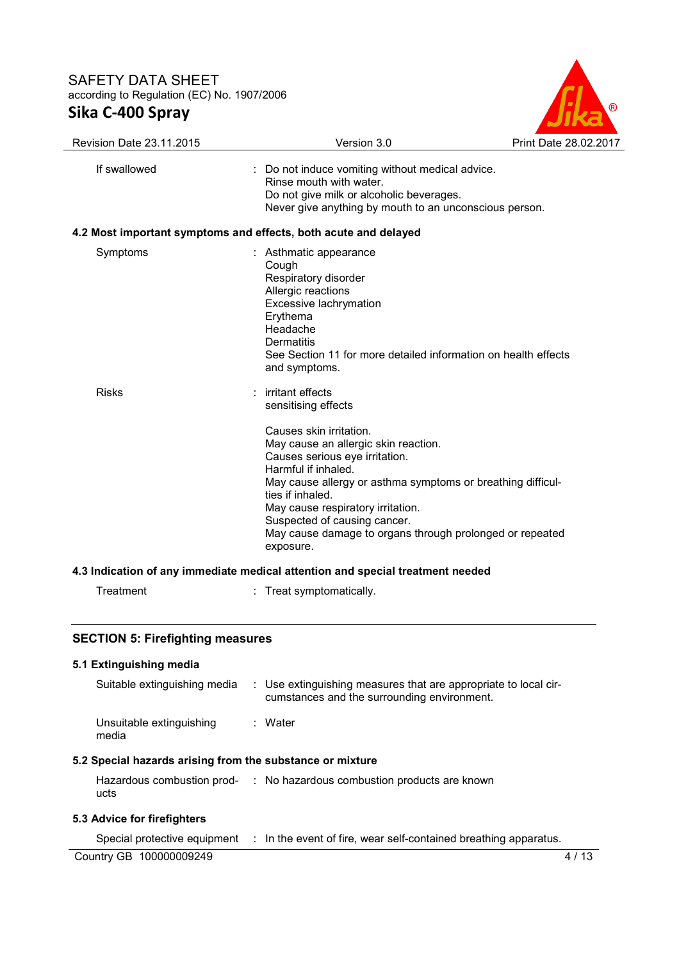

| Revision Date 23.11.2015                                  | Version 3.0                                                                                                                                                                                                                                                                                                                                               | Print Date 28.02.2017 |
|-----------------------------------------------------------|-----------------------------------------------------------------------------------------------------------------------------------------------------------------------------------------------------------------------------------------------------------------------------------------------------------------------------------------------------------|-----------------------|
| If swallowed                                              | : Do not induce vomiting without medical advice.<br>Do not give milk or alcoholic beverages.<br>Never give anything by mouth to an unconscious person.                                                                                                                                                                                                    |                       |
|                                                           | 4.2 Most important symptoms and effects, both acute and delayed                                                                                                                                                                                                                                                                                           |                       |
| Symptoms                                                  | : Asthmatic appearance<br>Cough<br>Respiratory disorder<br>Allergic reactions<br>Excessive lachrymation<br>Erythema<br>Headache<br>Dermatitis<br>See Section 11 for more detailed information on health effects<br>and symptoms.                                                                                                                          |                       |
| <b>Risks</b>                                              | irritant effects<br>sensitising effects                                                                                                                                                                                                                                                                                                                   |                       |
|                                                           | Causes skin irritation.<br>May cause an allergic skin reaction.<br>Causes serious eye irritation.<br>Harmful if inhaled.<br>May cause allergy or asthma symptoms or breathing difficul-<br>ties if inhaled.<br>May cause respiratory irritation.<br>Suspected of causing cancer.<br>May cause damage to organs through prolonged or repeated<br>exposure. |                       |
|                                                           | 4.3 Indication of any immediate medical attention and special treatment needed                                                                                                                                                                                                                                                                            |                       |
| Treatment                                                 | : Treat symptomatically.                                                                                                                                                                                                                                                                                                                                  |                       |
| <b>SECTION 5: Firefighting measures</b>                   |                                                                                                                                                                                                                                                                                                                                                           |                       |
| 5.1 Extinguishing media                                   |                                                                                                                                                                                                                                                                                                                                                           |                       |
| Suitable extinguishing media                              | : Use extinguishing measures that are appropriate to local cir-<br>cumstances and the surrounding environment.                                                                                                                                                                                                                                            |                       |
| Unsuitable extinguishing<br>media                         | : Water                                                                                                                                                                                                                                                                                                                                                   |                       |
| 5.2 Special hazards arising from the substance or mixture |                                                                                                                                                                                                                                                                                                                                                           |                       |
|                                                           | Hazardous combustion prod- : No hazardous combustion products are known                                                                                                                                                                                                                                                                                   |                       |

# **5.3 Advice for firefighters**

ucts

Special protective equipment : In the event of fire, wear self-contained breathing apparatus.

Country GB 100000009249 4 / 13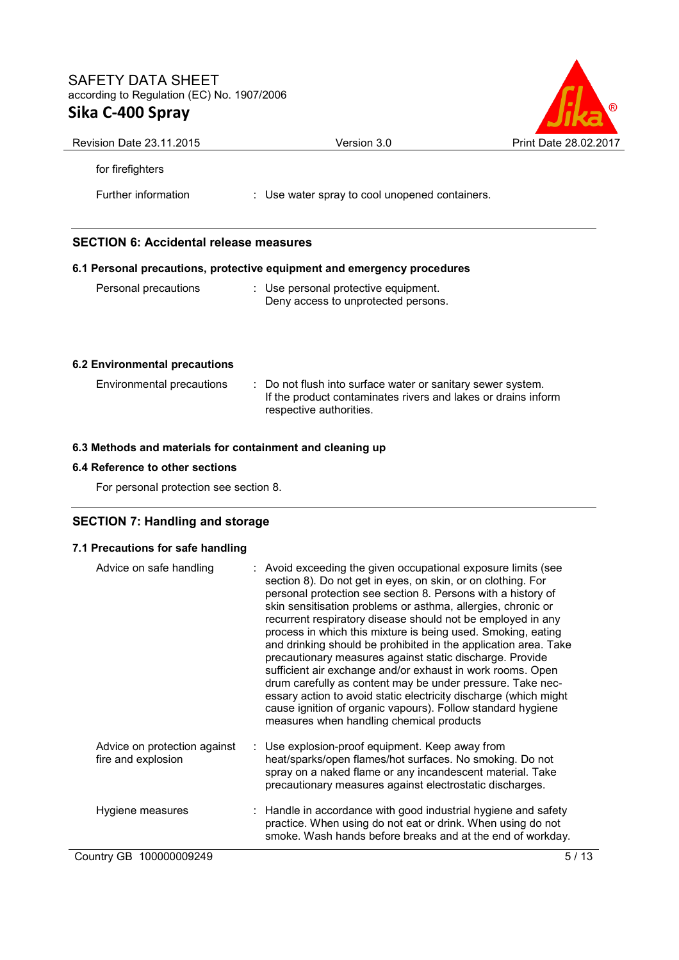

| <b>Revision Date 23.11.2015</b>                           | Version 3.0                                                                                                                                             | Print Date 28.02.2017 |
|-----------------------------------------------------------|---------------------------------------------------------------------------------------------------------------------------------------------------------|-----------------------|
| for firefighters                                          |                                                                                                                                                         |                       |
| Further information                                       | : Use water spray to cool unopened containers.                                                                                                          |                       |
| <b>SECTION 6: Accidental release measures</b>             |                                                                                                                                                         |                       |
|                                                           | 6.1 Personal precautions, protective equipment and emergency procedures                                                                                 |                       |
| Personal precautions                                      | : Use personal protective equipment.<br>Deny access to unprotected persons.                                                                             |                       |
| 6.2 Environmental precautions                             |                                                                                                                                                         |                       |
| Environmental precautions                                 | : Do not flush into surface water or sanitary sewer system.<br>If the product contaminates rivers and lakes or drains inform<br>respective authorities. |                       |
| 6.3 Methods and materials for containment and cleaning up |                                                                                                                                                         |                       |

# **6.4 Reference to other sections**

For personal protection see section 8.

# **SECTION 7: Handling and storage**

# **7.1 Precautions for safe handling**

| Advice on safe handling                            | : Avoid exceeding the given occupational exposure limits (see<br>section 8). Do not get in eyes, on skin, or on clothing. For<br>personal protection see section 8. Persons with a history of<br>skin sensitisation problems or asthma, allergies, chronic or<br>recurrent respiratory disease should not be employed in any<br>process in which this mixture is being used. Smoking, eating<br>and drinking should be prohibited in the application area. Take<br>precautionary measures against static discharge. Provide<br>sufficient air exchange and/or exhaust in work rooms. Open<br>drum carefully as content may be under pressure. Take nec-<br>essary action to avoid static electricity discharge (which might<br>cause ignition of organic vapours). Follow standard hygiene<br>measures when handling chemical products |
|----------------------------------------------------|----------------------------------------------------------------------------------------------------------------------------------------------------------------------------------------------------------------------------------------------------------------------------------------------------------------------------------------------------------------------------------------------------------------------------------------------------------------------------------------------------------------------------------------------------------------------------------------------------------------------------------------------------------------------------------------------------------------------------------------------------------------------------------------------------------------------------------------|
| Advice on protection against<br>fire and explosion | : Use explosion-proof equipment. Keep away from<br>heat/sparks/open flames/hot surfaces. No smoking. Do not<br>spray on a naked flame or any incandescent material. Take<br>precautionary measures against electrostatic discharges.                                                                                                                                                                                                                                                                                                                                                                                                                                                                                                                                                                                                   |
| Hygiene measures                                   | : Handle in accordance with good industrial hygiene and safety<br>practice. When using do not eat or drink. When using do not<br>smoke. Wash hands before breaks and at the end of workday.                                                                                                                                                                                                                                                                                                                                                                                                                                                                                                                                                                                                                                            |
| Country GB 100000009249                            | 5/13                                                                                                                                                                                                                                                                                                                                                                                                                                                                                                                                                                                                                                                                                                                                                                                                                                   |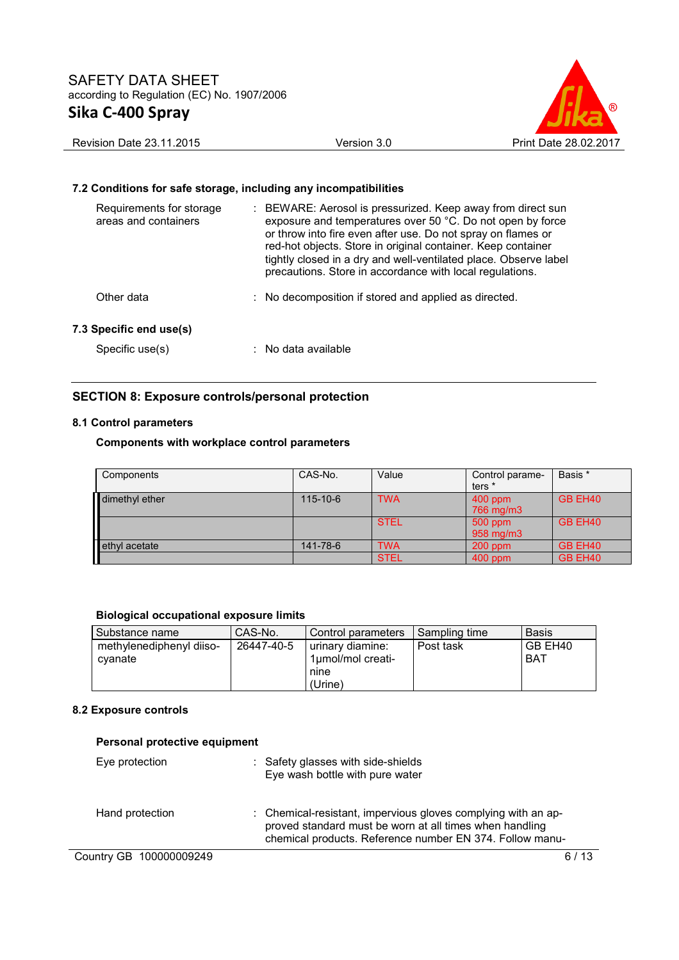

#### Revision Date 23.11.2015 **Version 3.0** Version 3.0 Print Date 28.02.2017

#### **7.2 Conditions for safe storage, including any incompatibilities**

| Requirements for storage<br>areas and containers | : BEWARE: Aerosol is pressurized. Keep away from direct sun<br>exposure and temperatures over 50 °C. Do not open by force<br>or throw into fire even after use. Do not spray on flames or<br>red-hot objects. Store in original container. Keep container<br>tightly closed in a dry and well-ventilated place. Observe label<br>precautions. Store in accordance with local regulations. |
|--------------------------------------------------|-------------------------------------------------------------------------------------------------------------------------------------------------------------------------------------------------------------------------------------------------------------------------------------------------------------------------------------------------------------------------------------------|
| Other data                                       | : No decomposition if stored and applied as directed.                                                                                                                                                                                                                                                                                                                                     |
| 7.3 Specific end use(s)                          |                                                                                                                                                                                                                                                                                                                                                                                           |
| Specific use(s)                                  | : No data available                                                                                                                                                                                                                                                                                                                                                                       |

# **SECTION 8: Exposure controls/personal protection**

## **8.1 Control parameters**

## **Components with workplace control parameters**

| Components     | CAS-No.        | Value       | Control parame-<br>ters * | Basis * |
|----------------|----------------|-------------|---------------------------|---------|
| dimethyl ether | $115 - 10 - 6$ | <b>TWA</b>  | $400$ ppm<br>766 mg/m3    | GB EH40 |
|                |                | <b>STEL</b> | 500 ppm<br>958 mg/m3      | GB EH40 |
| ethyl acetate  | 141-78-6       | <b>TWA</b>  | $200$ ppm                 | GB EH40 |
|                |                | <b>STEL</b> | $400$ ppm                 | GB EH40 |

#### **Biological occupational exposure limits**

| Substance name                      | CAS-No.    | Control parameters                                       | I Sampling time | <b>Basis</b>   |
|-------------------------------------|------------|----------------------------------------------------------|-----------------|----------------|
| methylenediphenyl diiso-<br>cvanate | 26447-40-5 | urinary diamine:<br>1µmol/mol creati-<br>nine<br>(Urine) | Post task       | GB EH40<br>BAT |

#### **8.2 Exposure controls**

| Personal protective equipment |                                                                                                                                                                                      |  |
|-------------------------------|--------------------------------------------------------------------------------------------------------------------------------------------------------------------------------------|--|
| Eye protection                | : Safety glasses with side-shields<br>Eye wash bottle with pure water                                                                                                                |  |
| Hand protection               | : Chemical-resistant, impervious gloves complying with an ap-<br>proved standard must be worn at all times when handling<br>chemical products. Reference number EN 374. Follow manu- |  |
| Country GB 100000009249       | 6 / 13                                                                                                                                                                               |  |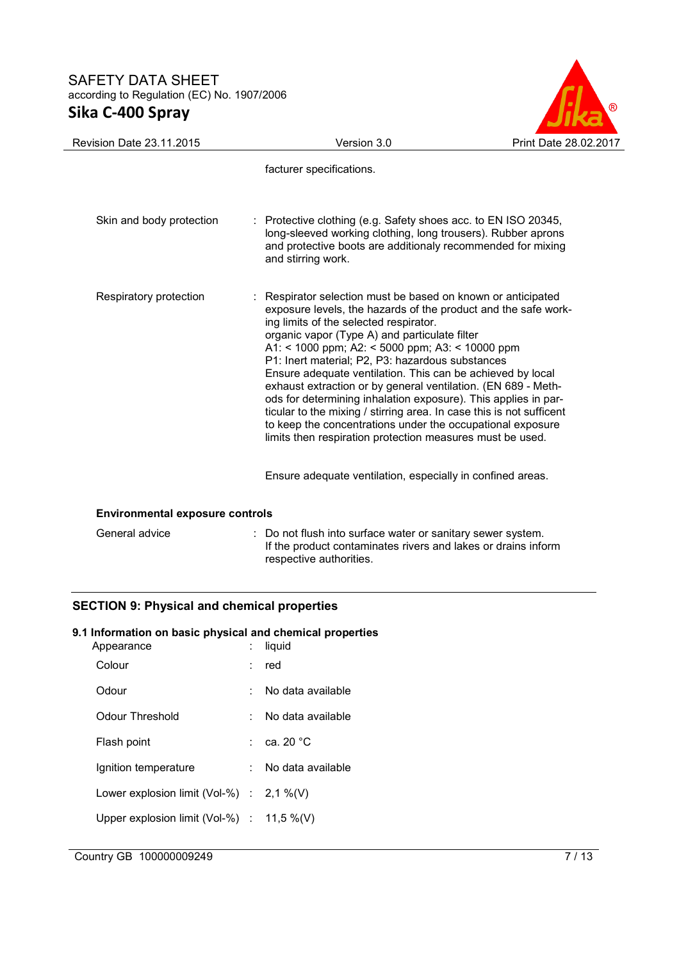

| <b>Revision Date 23.11.2015</b>        | Version 3.0                                                                                                                                                                                                                                                                                                                                                                                                                                                                                                                                                                                                                                                                                                                          | Print Date 28.02.2017 |
|----------------------------------------|--------------------------------------------------------------------------------------------------------------------------------------------------------------------------------------------------------------------------------------------------------------------------------------------------------------------------------------------------------------------------------------------------------------------------------------------------------------------------------------------------------------------------------------------------------------------------------------------------------------------------------------------------------------------------------------------------------------------------------------|-----------------------|
|                                        | facturer specifications.                                                                                                                                                                                                                                                                                                                                                                                                                                                                                                                                                                                                                                                                                                             |                       |
| Skin and body protection               | : Protective clothing (e.g. Safety shoes acc. to EN ISO 20345,<br>long-sleeved working clothing, long trousers). Rubber aprons<br>and protective boots are additionaly recommended for mixing<br>and stirring work.                                                                                                                                                                                                                                                                                                                                                                                                                                                                                                                  |                       |
| Respiratory protection                 | : Respirator selection must be based on known or anticipated<br>exposure levels, the hazards of the product and the safe work-<br>ing limits of the selected respirator.<br>organic vapor (Type A) and particulate filter<br>A1: < 1000 ppm; A2: < 5000 ppm; A3: < 10000 ppm<br>P1: Inert material; P2, P3: hazardous substances<br>Ensure adequate ventilation. This can be achieved by local<br>exhaust extraction or by general ventilation. (EN 689 - Meth-<br>ods for determining inhalation exposure). This applies in par-<br>ticular to the mixing / stirring area. In case this is not sufficent<br>to keep the concentrations under the occupational exposure<br>limits then respiration protection measures must be used. |                       |
|                                        | Ensure adequate ventilation, especially in confined areas.                                                                                                                                                                                                                                                                                                                                                                                                                                                                                                                                                                                                                                                                           |                       |
| <b>Environmental exposure controls</b> |                                                                                                                                                                                                                                                                                                                                                                                                                                                                                                                                                                                                                                                                                                                                      |                       |
| General advice                         | Do not flush into surface water or sanitary sewer system.                                                                                                                                                                                                                                                                                                                                                                                                                                                                                                                                                                                                                                                                            |                       |

respective authorities.

If the product contaminates rivers and lakes or drains inform

# **SECTION 9: Physical and chemical properties**

#### **9.1 Information on basic physical and chemical properties**

| Appearance                                   | liquid                |
|----------------------------------------------|-----------------------|
| Colour                                       | red                   |
| Odour                                        | No data available     |
| Odour Threshold                              | No data available     |
| Flash point                                  | : ca. 20 $^{\circ}$ C |
| Ignition temperature                         | : No data available   |
| Lower explosion limit (Vol-%) : $2.1\%$ (V)  |                       |
| Upper explosion limit (Vol-%) : $11.5\%$ (V) |                       |
|                                              |                       |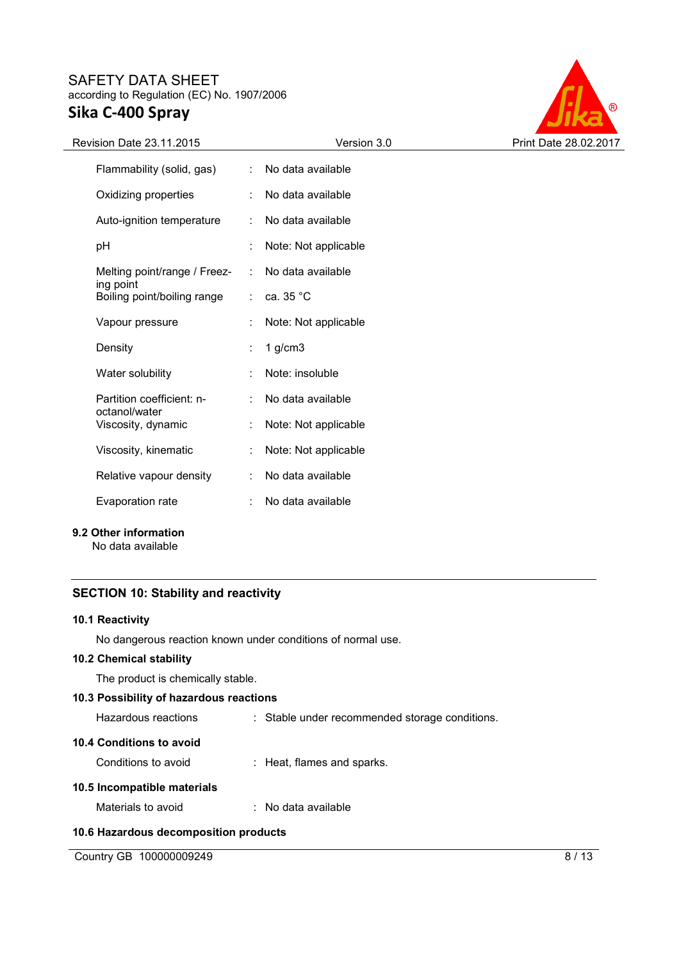

| Revision Date 23.11.2015                 |    | Version 3.0          | Print Date 28.02.2017 |
|------------------------------------------|----|----------------------|-----------------------|
| Flammability (solid, gas)                | ÷. | No data available    |                       |
| Oxidizing properties                     |    | No data available    |                       |
| Auto-ignition temperature                |    | No data available    |                       |
| pH                                       |    | Note: Not applicable |                       |
| Melting point/range / Freez-             |    | No data available    |                       |
| ing point<br>Boiling point/boiling range |    | ca. 35 °C            |                       |
| Vapour pressure                          |    | Note: Not applicable |                       |
| Density                                  | ÷  | $1$ g/cm $3$         |                       |
| Water solubility                         | ٠  | Note: insoluble      |                       |
| Partition coefficient: n-                | ÷  | No data available    |                       |
| octanol/water<br>Viscosity, dynamic      | t  | Note: Not applicable |                       |
| Viscosity, kinematic                     | ÷  | Note: Not applicable |                       |
| Relative vapour density                  | ÷  | No data available    |                       |
| Evaporation rate                         |    | No data available    |                       |

**9.2 Other information** 

No data available

# **SECTION 10: Stability and reactivity**

#### **10.1 Reactivity**

No dangerous reaction known under conditions of normal use.

# **10.2 Chemical stability**

The product is chemically stable.

## **10.3 Possibility of hazardous reactions**

| Hazardous reactions | : Stable under recommended storage conditions. |
|---------------------|------------------------------------------------|
|                     |                                                |

# **10.4 Conditions to avoid**

| Conditions to avoid |  | : Heat, flames and sparks. |
|---------------------|--|----------------------------|
|---------------------|--|----------------------------|

# **10.5 Incompatible materials**

| Materials to avoid | No data available |
|--------------------|-------------------|
|--------------------|-------------------|

## **10.6 Hazardous decomposition products**

Country GB 100000009249 8/13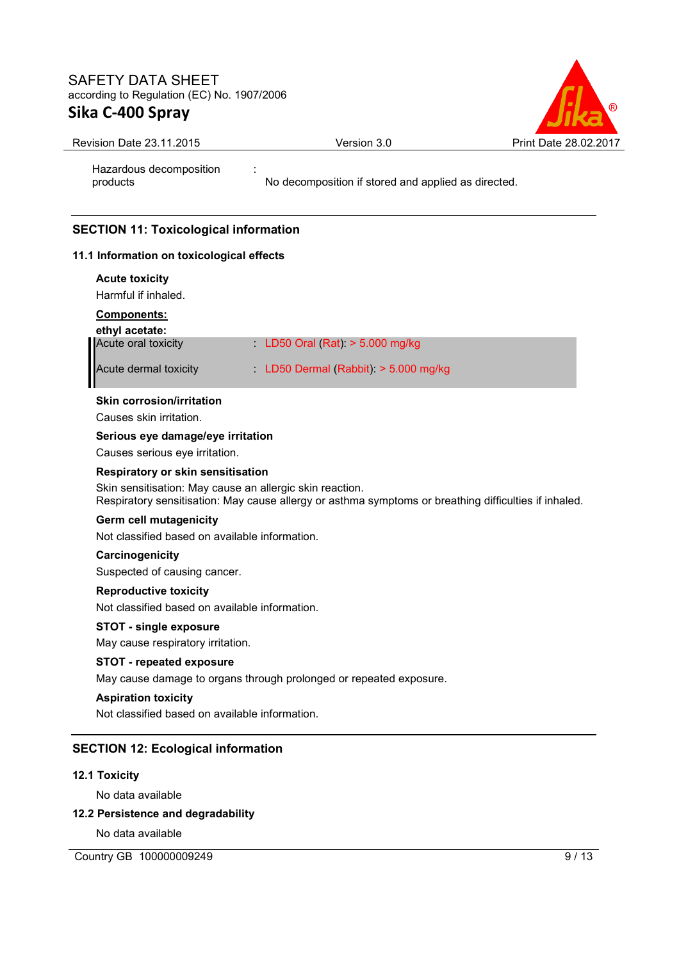Hazardous decomposition

products



Revision Date 23.11.2015 <br>
Version 3.0 Print Date 28.02.2017

:

No decomposition if stored and applied as directed.

# **SECTION 11: Toxicological information**

## **11.1 Information on toxicological effects**

| <b>Acute toxicity</b>                                    |                                                                                                       |
|----------------------------------------------------------|-------------------------------------------------------------------------------------------------------|
| Harmful if inhaled.                                      |                                                                                                       |
| Components:                                              |                                                                                                       |
| ethyl acetate:                                           |                                                                                                       |
| Acute oral toxicity                                      | LD50 Oral (Rat) $> 5.000$ mg/kg                                                                       |
| Acute dermal toxicity                                    | LD50 Dermal (Rabbit): > 5.000 mg/kg                                                                   |
| Skin corrosion/irritation                                |                                                                                                       |
| Causes skin irritation.                                  |                                                                                                       |
| Serious eye damage/eye irritation                        |                                                                                                       |
| Causes serious eye irritation.                           |                                                                                                       |
| Respiratory or skin sensitisation                        |                                                                                                       |
| Skin sensitisation: May cause an allergic skin reaction. | Respiratory sensitisation: May cause allergy or asthma symptoms or breathing difficulties if inhaled. |
| <b>Germ cell mutagenicity</b>                            |                                                                                                       |
| Not classified based on available information.           |                                                                                                       |
| Carcinogenicity                                          |                                                                                                       |
| Suspected of causing cancer.                             |                                                                                                       |
| <b>Reproductive toxicity</b>                             |                                                                                                       |
| Not classified based on available information.           |                                                                                                       |
| <b>STOT - single exposure</b>                            |                                                                                                       |
| May cause respiratory irritation.                        |                                                                                                       |
| <b>STOT - repeated exposure</b>                          |                                                                                                       |
|                                                          | May cause damage to organs through prolonged or repeated exposure.                                    |
| <b>Aspiration toxicity</b>                               |                                                                                                       |
| Not classified based on available information.           |                                                                                                       |
| <b>SECTION 12: Ecological information</b>                |                                                                                                       |
| <b>12.1 Toxicity</b>                                     |                                                                                                       |

No data available

## **12.2 Persistence and degradability**

No data available

Country GB 100000009249 9 / 13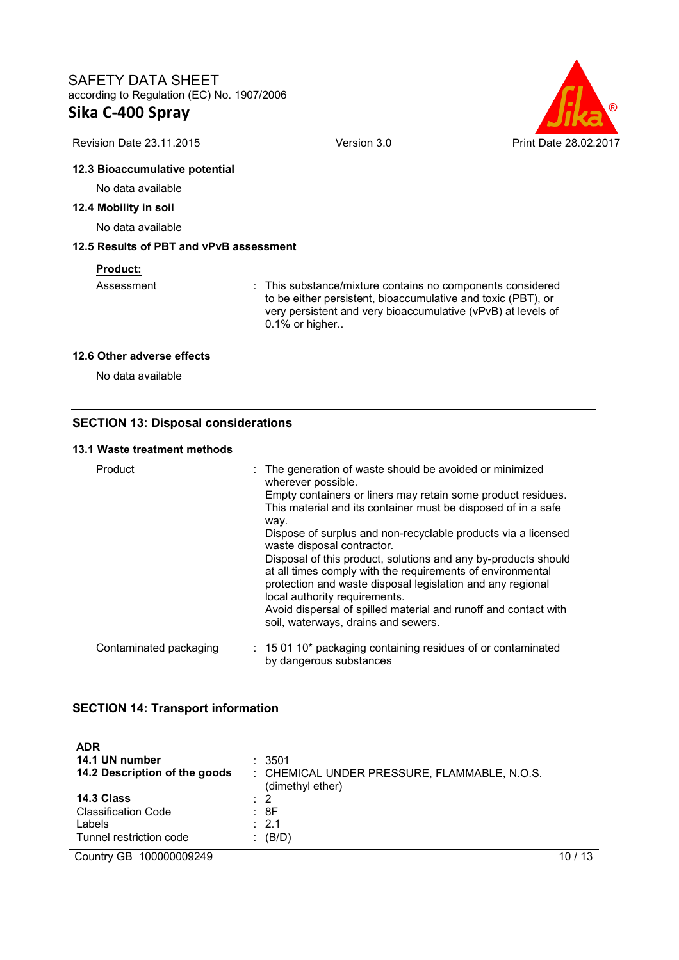

#### Revision Date 23.11.2015 **Version 3.0** Version 3.0 Print Date 28.02.2017

## **12.3 Bioaccumulative potential**

No data available

## **12.4 Mobility in soil**

No data available

# **12.5 Results of PBT and vPvB assessment**

#### **Product:**

Assessment : This substance/mixture contains no components considered to be either persistent, bioaccumulative and toxic (PBT), or very persistent and very bioaccumulative (vPvB) at levels of 0.1% or higher..

#### **12.6 Other adverse effects**

No data available

## **SECTION 13: Disposal considerations**

#### **13.1 Waste treatment methods**

| Product                | : The generation of waste should be avoided or minimized<br>wherever possible.<br>Empty containers or liners may retain some product residues.<br>This material and its container must be disposed of in a safe<br>way.<br>Dispose of surplus and non-recyclable products via a licensed<br>waste disposal contractor.<br>Disposal of this product, solutions and any by-products should<br>at all times comply with the requirements of environmental<br>protection and waste disposal legislation and any regional<br>local authority requirements.<br>Avoid dispersal of spilled material and runoff and contact with<br>soil, waterways, drains and sewers. |
|------------------------|-----------------------------------------------------------------------------------------------------------------------------------------------------------------------------------------------------------------------------------------------------------------------------------------------------------------------------------------------------------------------------------------------------------------------------------------------------------------------------------------------------------------------------------------------------------------------------------------------------------------------------------------------------------------|
| Contaminated packaging | $: 150110*$ packaging containing residues of or contaminated<br>by dangerous substances                                                                                                                                                                                                                                                                                                                                                                                                                                                                                                                                                                         |

## **SECTION 14: Transport information**

| <b>ADR</b><br>14.1 UN number<br>14.2 Description of the goods                 | : 3501<br>: CHEMICAL UNDER PRESSURE, FLAMMABLE, N.O.S.<br>(dimethyl ether) |    |
|-------------------------------------------------------------------------------|----------------------------------------------------------------------------|----|
| 14.3 Class<br><b>Classification Code</b><br>Labels<br>Tunnel restriction code | $\therefore$ 2<br>: 8F<br>$\therefore$ 2.1<br>$\colon$ (B/D)               |    |
| Country GB 100000009249                                                       |                                                                            | 13 |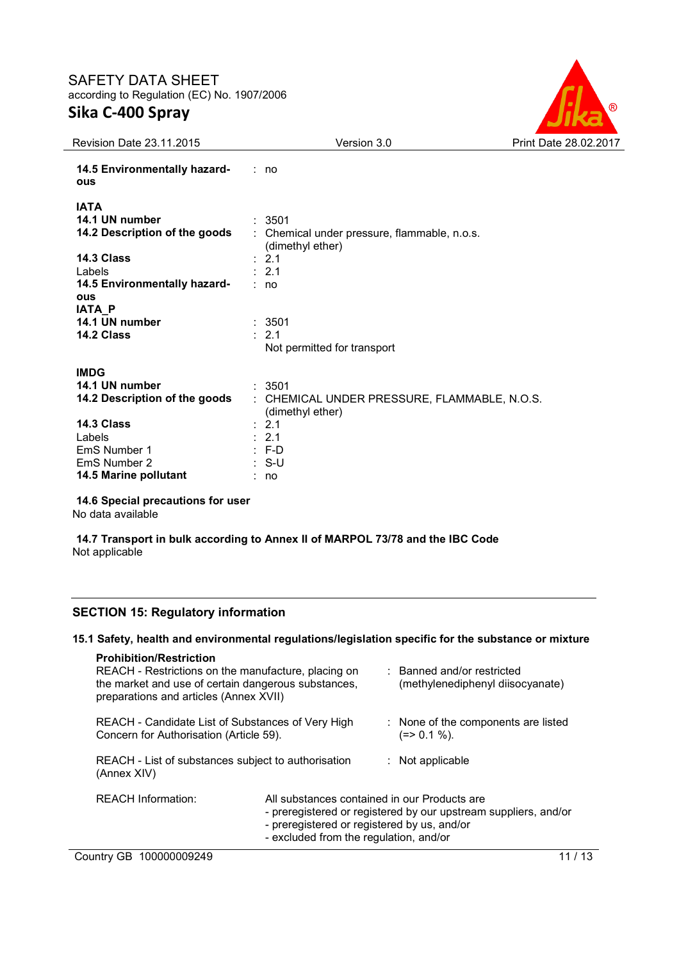

| <b>Revision Date 23.11.2015</b>            | Version 3.0                                                      | Print Date 28.02.2017 |
|--------------------------------------------|------------------------------------------------------------------|-----------------------|
| 14.5 Environmentally hazard-<br><b>ous</b> | : no                                                             |                       |
| <b>IATA</b>                                |                                                                  |                       |
| 14.1 UN number                             | : 3501                                                           |                       |
| 14.2 Description of the goods              | : Chemical under pressure, flammable, n.o.s.<br>(dimethyl ether) |                       |
| 14.3 Class                                 | : 2.1                                                            |                       |
| Labels                                     | : 2.1                                                            |                       |
| 14.5 Environmentally hazard-               | : no                                                             |                       |
| <b>ous</b><br>IATA_P                       |                                                                  |                       |
| 14.1 UN number                             | : 3501                                                           |                       |
| 14.2 Class                                 | $\therefore$ 2.1                                                 |                       |
|                                            | Not permitted for transport                                      |                       |
| <b>IMDG</b>                                |                                                                  |                       |
| 14.1 UN number                             | : 3501                                                           |                       |
| 14.2 Description of the goods              | : CHEMICAL UNDER PRESSURE, FLAMMABLE, N.O.S.<br>(dimethyl ether) |                       |
| 14.3 Class                                 | : 2.1                                                            |                       |
| Labels                                     | : 2.1                                                            |                       |
| EmS Number 1                               | $: F-D$                                                          |                       |
| EmS Number 2                               | : S-U                                                            |                       |
| 14.5 Marine pollutant                      | : no                                                             |                       |
|                                            |                                                                  |                       |

**14.6 Special precautions for user**

No data available

**14.7 Transport in bulk according to Annex II of MARPOL 73/78 and the IBC Code** Not applicable

## **SECTION 15: Regulatory information**

## **15.1 Safety, health and environmental regulations/legislation specific for the substance or mixture**

| <b>Prohibition/Restriction</b><br>REACH - Restrictions on the manufacture, placing on<br>the market and use of certain dangerous substances,<br>preparations and articles (Annex XVII) |                                                                                       | Banned and/or restricted<br>(methylenediphenyl diisocyanate)                                                    |         |
|----------------------------------------------------------------------------------------------------------------------------------------------------------------------------------------|---------------------------------------------------------------------------------------|-----------------------------------------------------------------------------------------------------------------|---------|
| REACH - Candidate List of Substances of Very High<br>Concern for Authorisation (Article 59).                                                                                           |                                                                                       | : None of the components are listed<br>(=> 0.1 %).                                                              |         |
| REACH - List of substances subject to authorisation<br>(Annex XIV)                                                                                                                     |                                                                                       | $:$ Not applicable                                                                                              |         |
| <b>REACH Information:</b>                                                                                                                                                              | - preregistered or registered by us, and/or<br>- excluded from the regulation, and/or | All substances contained in our Products are<br>- preregistered or registered by our upstream suppliers, and/or |         |
| Country GB 100000009249                                                                                                                                                                |                                                                                       |                                                                                                                 | 11 / 13 |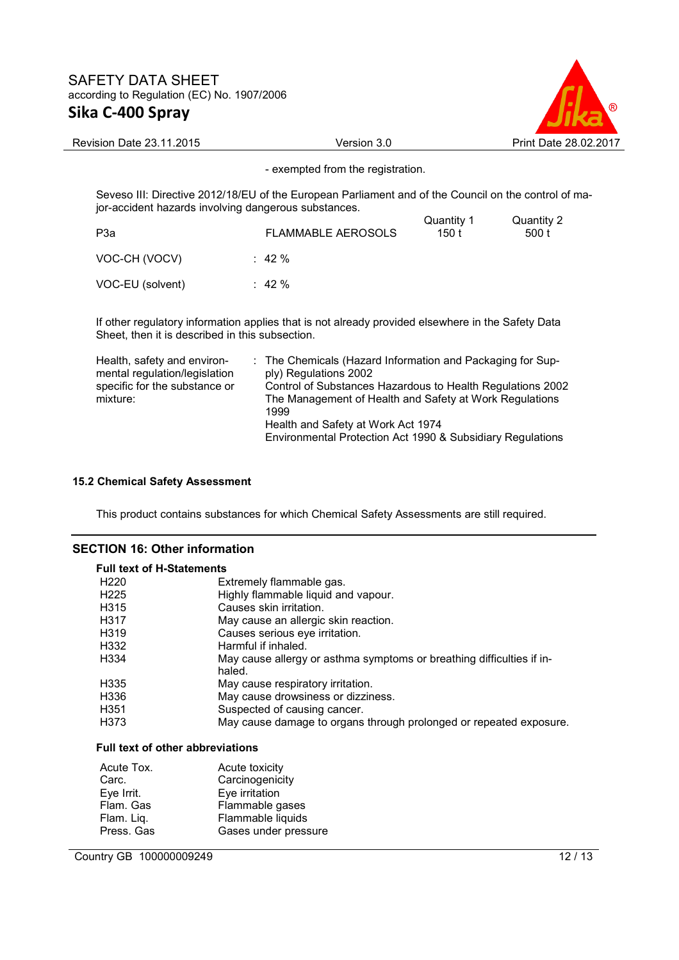

Revision Date 23.11.2015 **Version 3.0** Version 3.0 Print Date 28.02.2017

- exempted from the registration.

Seveso III: Directive 2012/18/EU of the European Parliament and of the Council on the control of major-accident hazards involving dangerous substances.

| P <sub>3</sub> a | <b>FLAMMABLE AEROSOLS</b> | Quantity 1<br>150 t | Quantity 2<br>500 t |
|------------------|---------------------------|---------------------|---------------------|
| VOC-CH (VOCV)    | $\therefore$ 42 %         |                     |                     |
| VOC-EU (solvent) | $\therefore$ 42 %         |                     |                     |

If other regulatory information applies that is not already provided elsewhere in the Safety Data Sheet, then it is described in this subsection.

| Health, safety and environ-   | : The Chemicals (Hazard Information and Packaging for Sup- |
|-------------------------------|------------------------------------------------------------|
| mental regulation/legislation | ply) Regulations 2002                                      |
| specific for the substance or | Control of Substances Hazardous to Health Regulations 2002 |
| mixture:                      | The Management of Health and Safety at Work Regulations    |
|                               | 1999                                                       |
|                               | Health and Safety at Work Act 1974                         |
|                               | Environmental Protection Act 1990 & Subsidiary Regulations |

## **15.2 Chemical Safety Assessment**

This product contains substances for which Chemical Safety Assessments are still required.

# **SECTION 16: Other information**

| <b>Full text of H-Statements</b>  |                                                                                 |  |
|-----------------------------------|---------------------------------------------------------------------------------|--|
| H <sub>220</sub>                  | Extremely flammable gas.                                                        |  |
| H <sub>225</sub>                  | Highly flammable liquid and vapour.                                             |  |
| H <sub>315</sub>                  | Causes skin irritation.                                                         |  |
| H317                              | May cause an allergic skin reaction.                                            |  |
| H <sub>3</sub> 19                 | Causes serious eye irritation.                                                  |  |
| H332                              | Harmful if inhaled.                                                             |  |
| H <sub>334</sub>                  | May cause allergy or asthma symptoms or breathing difficulties if in-<br>haled. |  |
| H <sub>335</sub>                  | May cause respiratory irritation.                                               |  |
| H336                              | May cause drowsiness or dizziness.                                              |  |
| H <sub>351</sub>                  | Suspected of causing cancer.                                                    |  |
| H373                              | May cause damage to organs through prolonged or repeated exposure.              |  |
| Full toyt of other abbreviatione. |                                                                                 |  |

#### **Full text of other abbreviations**

| Acute Tox. | Acute toxicity       |
|------------|----------------------|
| Carc.      | Carcinogenicity      |
| Eye Irrit. | Eye irritation       |
| Flam. Gas  | Flammable gases      |
| Flam. Liq. | Flammable liquids    |
| Press. Gas | Gases under pressure |